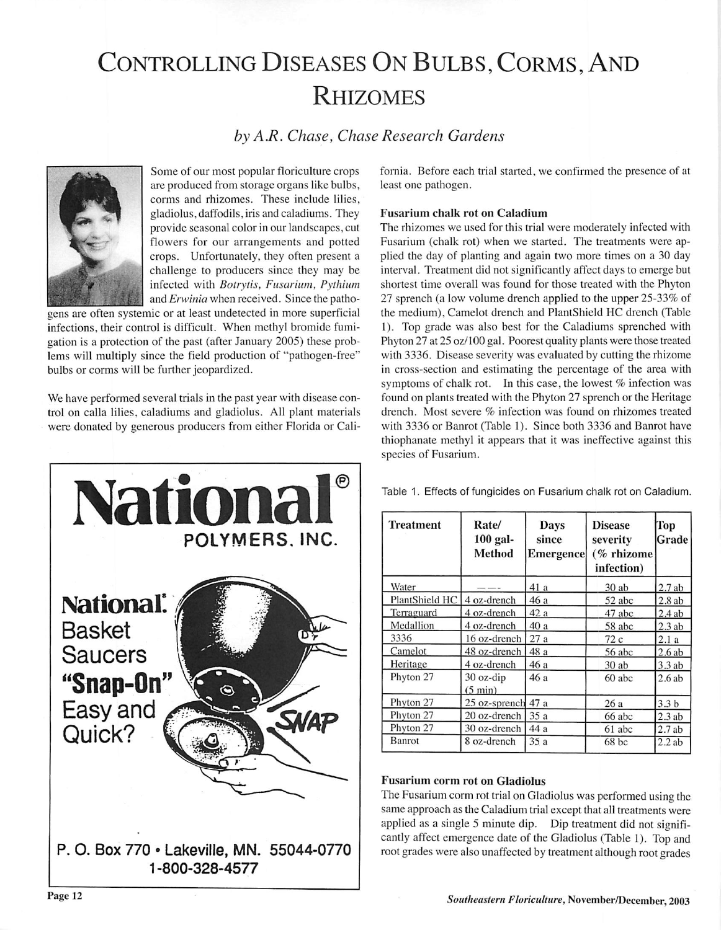# Controlling Diseases On Bulbs, Corms, And **RHIZOMES**

**by A.R. Chase, Chase Research Gardens**



Some of our most popular floriculture crops are produced from storage organs like bulbs, corms and rhizomes. These include lilies, gladiolus, daffodils, iris and caladiums. They provide seasonal color in our landscapes, cut flowers for our arrangements and potted crops. Unfortunately, they often present a challenge to producers since they may be infected with **Botrytis, Fusarium, Pythium** and **Erwinia** when received. Since the patho

gens are often systemic or at least undetected in more superficial infections, their control is difficult. When methyl bromide fumi gation is a protection of the past (after January 2005) these prob lems will multiply since the field production of "pathogen-free" bulbs or corms will be further jeopardized.

We have performed several trials in the past year with disease con trol on calla lilies, caladiums and gladiolus. All plant materials were donated by generous producers from either Florida or Cali-



fornia. Before each trial started, we confirmed the presence of at least one pathogen.

## *Fusarium chalk rot on Caladium*

The rhizomes we used for this trial were moderately infected with Fusarium (chalk rot) when we started. The treatments were ap plied the day of planting and again two more times on a 30 day interval. Treatment did not significantly affect days to emerge but shortest time overall was found for those treated with the Phyton 27 sprench (a low volume drench applied to the upper 25-33% of the medium). Camelot drench and PlantShicId HC drench (Table 1). Top grade was also best for the Caladiums sprenched with Phyton 27 at 25 oz/100 gal. Poorest quality plants were those treated with 3336. Disease severity was evaluated by cutting the rhizome in cross-section and estimating the percentage of the area with symptoms of chalk rot. In this case, the lowest % infection was found on plants treated with the Phyton 27 sprench or the Heritage drench. Most severe % infection was found on rhizomes treated with 3336 or Banrot (Table 1). Since both 3336 and Banrot have thiophanate methyl it appears that it was ineffective against this species of Fusarium.

Table 1. Effects of fungicides on Fusarium chalk rot on Caladium.

| <b>Treatment</b> | Rate/<br>$100$ gal-<br><b>Method</b> | Days<br>since<br><b>Emergence</b> | <b>Disease</b><br>severity<br>(% rhizome<br>infection) | Top<br>Grade     |
|------------------|--------------------------------------|-----------------------------------|--------------------------------------------------------|------------------|
| Water            |                                      | 41 a                              | $30$ ab                                                | 2.7ab            |
| PlantShield HC   | 4 oz-drench                          | 46 a                              | 52 abc                                                 | 2.8ab            |
| Terraguard       | 4 oz-drench                          | 42 a                              | 47 abc                                                 | 2.4ab            |
| Medallion        | 4 oz-drench                          | 40 a                              | 58 abc                                                 | 2.3ab            |
| 3336             | 16 oz-drench                         | 27a                               | 72 c                                                   | 2.1a             |
| Camelot          | 48 oz-drench                         | 48 a                              | 56 abc                                                 | 2.6ab            |
| Heritage         | 4 oz-drench                          | 46 a                              | $30$ ab                                                | 3.3 ab           |
| Phyton 27        | 30 oz-dip<br>$(5 \text{ min})$       | 46 a                              | 60 abc                                                 | 2.6ab            |
| Phyton 27        | 25 oz-sprench                        | 47 a                              | 26a                                                    | 3.3 <sub>b</sub> |
| Phyton 27        | $20$ oz-drench                       | 35a                               | 66 abc                                                 | 2.3ab            |
| Phyton 27        | 30 oz-drench                         | 44 a                              | 61 abc                                                 | 2.7ab            |
| Banrot           | 8 oz-drench                          | 35a                               | $68$ bc                                                | 2.2ab            |

## *Fusarium corm rot on Gladiolus*

The Fusarium corm rot trial on Gladiolus was performed using the same approach as the Caladium trial except that all treatments were applied as a single 5 minute dip. Dip treatment did not signifi cantly affect emergence date of the Gladiolus (Table 1). Top and root grades were also unaffected by treatment although root grades